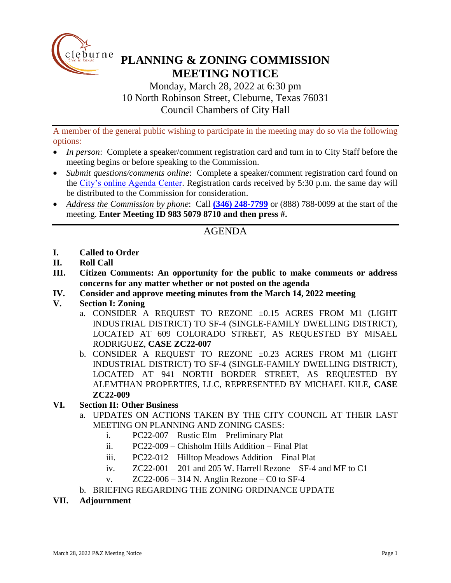

## **PLANNING & ZONING COMMISSION MEETING NOTICE**

Monday, March 28, 2022 at 6:30 pm 10 North Robinson Street, Cleburne, Texas 76031 Council Chambers of City Hall

A member of the general public wishing to participate in the meeting may do so via the following options:

- *In person*: Complete a speaker/comment registration card and turn in to City Staff before the meeting begins or before speaking to the Commission.
- *Submit questions/comments online*: Complete a speaker/comment registration card found on the [City's online Agenda Center.](https://www.cleburne.net/agendacenter) Registration cards received by 5:30 p.m. the same day will be distributed to the Commission for consideration.
- *Address the Commission by phone*: Call **(346) [248-7799](tel:+13127573117,,477307821)** or (888) 788-0099 at the start of the meeting. **Enter Meeting ID 983 5079 8710 and then press #.**

## AGENDA

- **I. Called to Order**
- **II. Roll Call**
- **III. Citizen Comments: An opportunity for the public to make comments or address concerns for any matter whether or not posted on the agenda**
- **IV. Consider and approve meeting minutes from the March 14, 2022 meeting**
- **V. Section I: Zoning**
	- a. CONSIDER A REQUEST TO REZONE  $\pm 0.15$  ACRES FROM M1 (LIGHT INDUSTRIAL DISTRICT) TO SF-4 (SINGLE-FAMILY DWELLING DISTRICT), LOCATED AT 609 COLORADO STREET, AS REQUESTED BY MISAEL RODRIGUEZ, **CASE ZC22-007**
	- b. CONSIDER A REQUEST TO REZONE ±0.23 ACRES FROM M1 (LIGHT INDUSTRIAL DISTRICT) TO SF-4 (SINGLE-FAMILY DWELLING DISTRICT), LOCATED AT 941 NORTH BORDER STREET, AS REQUESTED BY ALEMTHAN PROPERTIES, LLC, REPRESENTED BY MICHAEL KILE, **CASE ZC22-009**
- **VI. Section II: Other Business**
	- a. UPDATES ON ACTIONS TAKEN BY THE CITY COUNCIL AT THEIR LAST MEETING ON PLANNING AND ZONING CASES:
		- i. PC22-007 Rustic Elm Preliminary Plat
		- ii. PC22-009 Chisholm Hills Addition Final Plat
		- iii. PC22-012 Hilltop Meadows Addition Final Plat
		- iv.  $ZC22-001-201$  and 205 W. Harrell Rezone SF-4 and MF to C1
		- v.  $ZC22-006-314$  N. Anglin Rezone C0 to SF-4
	- b. BRIEFING REGARDING THE ZONING ORDINANCE UPDATE
- **VII. Adjournment**